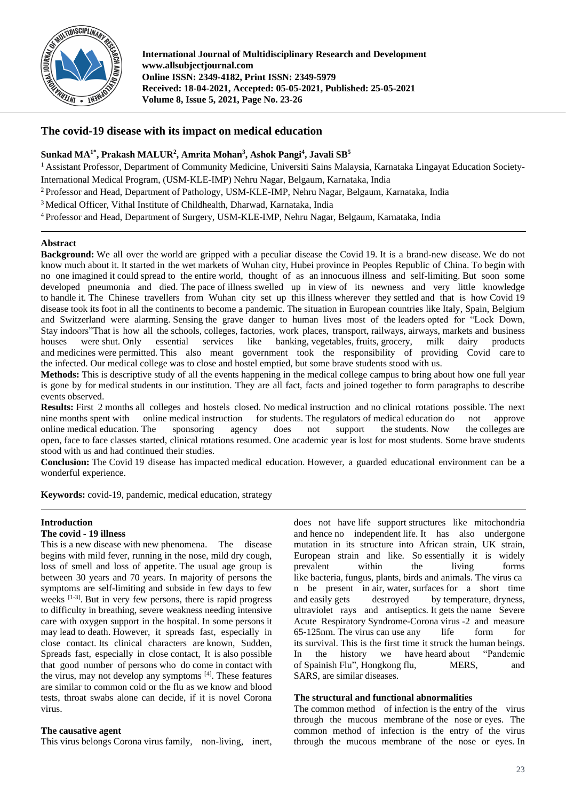

**International Journal of Multidisciplinary Research and Development www.allsubjectjournal.com Online ISSN: 2349-4182, Print ISSN: 2349-5979 Received: 18-04-2021, Accepted: 05-05-2021, Published: 25-05-2021 Volume 8, Issue 5, 2021, Page No. 23-26**

## **The covid-19 disease with its impact on medical education**

## **Sunkad MA1\* , Prakash MALUR<sup>2</sup> , Amrita Mohan<sup>3</sup> , Ashok Pangi<sup>4</sup> , Javali SB 5**

<sup>1</sup> Assistant Professor, Department of Community Medicine, Universiti Sains Malaysia, Karnataka Lingayat Education Society-International Medical Program, (USM-KLE-IMP) Nehru Nagar, Belgaum, Karnataka, India

<sup>2</sup> Professor and Head, Department of Pathology, USM-KLE-IMP, Nehru Nagar, Belgaum, Karnataka, India

<sup>3</sup> Medical Officer, Vithal Institute of Childhealth, Dharwad, Karnataka, India

<sup>4</sup> Professor and Head, Department of Surgery, USM-KLE-IMP, Nehru Nagar, Belgaum, Karnataka, India

## **Abstract**

**Background:** We all over the world are gripped with a peculiar disease the Covid 19. It is a brand-new disease. We do not know much about it. It started in the wet markets of Wuhan city, Hubei province in Peoples Republic of China. To begin with no one imagined it could spread to the entire world, thought of as an innocuous illness and self-limiting. But soon some developed pneumonia and died. The pace of illness swelled up in view of its newness and very little knowledge to handle it. The Chinese travellers from Wuhan city set up this illness wherever they settled and that is how Covid 19 disease took its foot in all the continents to become a pandemic. The situation in European countries like Italy, Spain, Belgium and Switzerland were alarming. Sensing the grave danger to human lives most of the leaders opted for "Lock Down, Stay indoors"That is how all the schools, colleges, factories, work places, transport, railways, airways, markets and business houses were shut. Only essential services like banking, vegetables, fruits, grocery, milk dairy products and medicines were permitted. This also meant government took the responsibility of providing Covid care to the infected. Our medical college was to close and hostel emptied, but some brave students stood with us.

**Methods:** This is descriptive study of all the events happening in the medical college campus to bring about how one full year is gone by for medical students in our institution. They are all fact, facts and joined together to form paragraphs to describe events observed.

**Results:** First 2 months all colleges and hostels closed. No medical instruction and no clinical rotations possible. The next nine months spent with online medical instruction for students. The regulators of medical education do not approve online medical education. The sponsoring agency does not support the students. Now the colleges are open, face to face classes started, clinical rotations resumed. One academic year is lost for most students. Some brave students stood with us and had continued their studies.

**Conclusion:** The Covid 19 disease has impacted medical education. However, a guarded educational environment can be a wonderful experience.

**Keywords:** covid-19, pandemic, medical education, strategy

## **Introduction**

#### **The covid - 19 illness**

This is a new disease with new phenomena. The disease begins with mild fever, running in the nose, mild dry cough, loss of smell and loss of appetite. The usual age group is between 30 years and 70 years. In majority of persons the symptoms are self-limiting and subside in few days to few weeks <sup>[1-3]</sup>. But in very few persons, there is rapid progress to difficulty in breathing, severe weakness needing intensive care with oxygen support in the hospital. In some persons it may lead to death. However, it spreads fast, especially in close contact. Its clinical characters are known, Sudden, Spreads fast, especially in close contact, It is also possible that good number of persons who do come in contact with the virus, may not develop any symptoms [4] . These features are similar to common cold or the flu as we know and blood tests, throat swabs alone can decide, if it is novel Corona virus.

#### **The causative agent**

This virus belongs Corona virus family, non-living, inert,

does not have life support structures like mitochondria and hence no independent life. It has also undergone mutation in its structure into African strain, UK strain, European strain and like. So essentially it is widely prevalent within the living forms like bacteria, fungus, plants, birds and animals. The virus ca n be present in air, water, surfaces for a short time and easily gets destroyed by temperature, dryness, ultraviolet rays and antiseptics. It gets the name Severe Acute Respiratory Syndrome-Corona virus -2 and measure 65-125nm. The virus can use any life form for its survival. This is the first time it struck the human beings. In the history we have heard about "Pandemic of Spainish Flu", Hongkong flu, MERS, and SARS, are similar diseases.

## **The structural and functional abnormalities**

The common method of infection is the entry of the virus through the mucous membrane of the nose or eyes. The common method of infection is the entry of the virus through the mucous membrane of the nose or eyes. In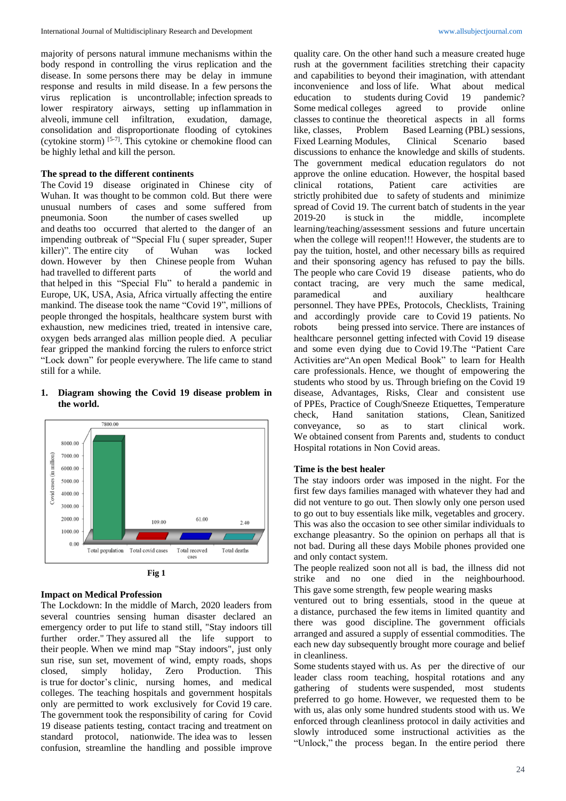majority of persons natural immune mechanisms within the body respond in controlling the virus replication and the disease. In some persons there may be delay in immune response and results in mild disease. In a few persons the virus replication is uncontrollable; infection spreads to lower respiratory airways, setting up inflammation in alveoli, immune cell infiltration, exudation, damage, consolidation and disproportionate flooding of cytokines (cytokine storm) [5-7] . This cytokine or chemokine flood can be highly lethal and kill the person.

## **The spread to the different continents**

The Covid 19 disease originated in Chinese city of Wuhan. It was thought to be common cold. But there were unusual numbers of cases and some suffered from pneumonia. Soon the number of cases swelled up and deaths too occurred that alerted to the danger of an impending outbreak of "Special Flu ( super spreader, Super killer)". The entire city of Wuhan was locked down. However by then Chinese people from Wuhan had travelled to different parts of the world and that helped in this "Special Flu" to herald a pandemic in Europe, UK, USA, Asia, Africa virtually affecting the entire mankind. The disease took the name "Covid 19", millions of people thronged the hospitals, healthcare system burst with exhaustion, new medicines tried, treated in intensive care, oxygen beds arranged alas million people died. A peculiar fear gripped the mankind forcing the rulers to enforce strict "Lock down" for people everywhere. The life came to stand still for a while.

## **1. Diagram showing the Covid 19 disease problem in the world.**



**Fig 1**

#### **Impact on Medical Profession**

The Lockdown: In the middle of March, 2020 leaders from several countries sensing human disaster declared an emergency order to put life to stand still, "Stay indoors till further order." They assured all the life support to their people. When we mind map "Stay indoors", just only sun rise, sun set, movement of wind, empty roads, shops closed, simply holiday, Zero Production. This is true for doctor's clinic, nursing homes, and medical colleges. The teaching hospitals and government hospitals only are permitted to work exclusively for Covid 19 care. The government took the responsibility of caring for Covid 19 disease patients testing, contact tracing and treatment on standard protocol, nationwide. The idea was to lessen confusion, streamline the handling and possible improve quality care. On the other hand such a measure created huge rush at the government facilities stretching their capacity and capabilities to beyond their imagination, with attendant inconvenience and loss of life. What about medical education to students during Covid 19 pandemic? education to students during Covid 19 Some medical colleges agreed to provide online classes to continue the theoretical aspects in all forms like, classes, Problem Based Learning (PBL) sessions, Fixed Learning Modules, Clinical Scenario based discussions to enhance the knowledge and skills of students. The government medical education regulators do not approve the online education. However, the hospital based clinical rotations, Patient care activities are strictly prohibited due to safety of students and minimize spread of Covid 19. The current batch of students in the year 2019-20 is stuck in the middle, incomplete learning/teaching/assessment sessions and future uncertain when the college will reopen!!! However, the students are to pay the tuition, hostel, and other necessary bills as required and their sponsoring agency has refused to pay the bills. The people who care Covid 19 disease patients, who do contact tracing, are very much the same medical, paramedical and auxiliary healthcare personnel. They have PPEs, Protocols, Checklists, Training and accordingly provide care to Covid 19 patients. No robots being pressed into service. There are instances of healthcare personnel getting infected with Covid 19 disease and some even dying due to Covid 19.The "Patient Care Activities are"An open Medical Book" to learn for Health care professionals. Hence, we thought of empowering the students who stood by us. Through briefing on the Covid 19 disease, Advantages, Risks, Clear and consistent use of PPEs, Practice of Cough/Sneeze Etiquettes, Temperature check, Hand sanitation stations, Clean, Sanitized conveyance, so as to start clinical work. We obtained consent from Parents and, students to conduct Hospital rotations in Non Covid areas.

#### **Time is the best healer**

The stay indoors order was imposed in the night. For the first few days families managed with whatever they had and did not venture to go out. Then slowly only one person used to go out to buy essentials like milk, vegetables and grocery. This was also the occasion to see other similar individuals to exchange pleasantry. So the opinion on perhaps all that is not bad. During all these days Mobile phones provided one and only contact system.

The people realized soon not all is bad, the illness did not strike and no one died in the neighbourhood. This gave some strength, few people wearing masks

ventured out to bring essentials, stood in the queue at a distance, purchased the few items in limited quantity and there was good discipline. The government officials arranged and assured a supply of essential commodities. The each new day subsequently brought more courage and belief in cleanliness.

Some students stayed with us. As per the directive of our leader class room teaching, hospital rotations and any gathering of students were suspended, most students preferred to go home. However, we requested them to be with us, alas only some hundred students stood with us. We enforced through cleanliness protocol in daily activities and slowly introduced some instructional activities as the "Unlock," the process began. In the entire period there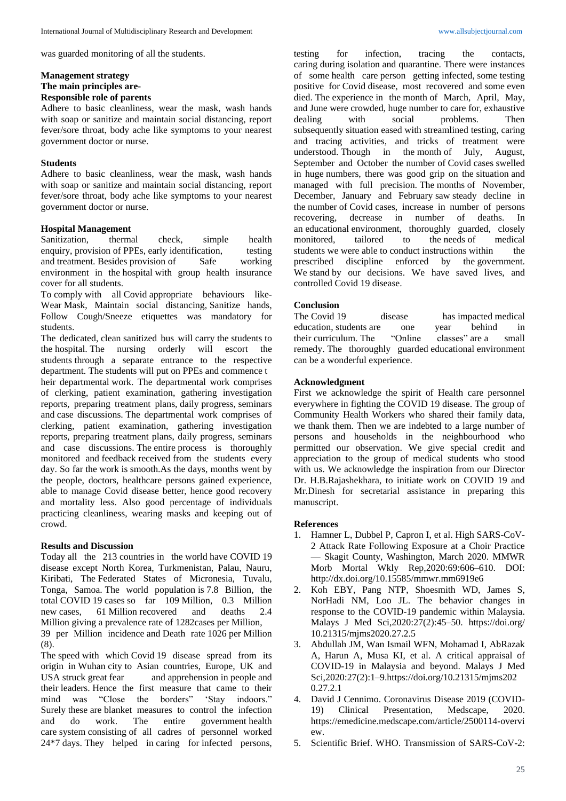was guarded monitoring of all the students.

# **Management strategy**

# **The main principles are**-

## **Responsible role of parents**

Adhere to basic cleanliness, wear the mask, wash hands with soap or sanitize and maintain social distancing, report fever/sore throat, body ache like symptoms to your nearest government doctor or nurse.

## **Students**

Adhere to basic cleanliness, wear the mask, wash hands with soap or sanitize and maintain social distancing, report fever/sore throat, body ache like symptoms to your nearest government doctor or nurse.

## **Hospital Management**

Sanitization, thermal check, simple health enquiry, provision of PPEs, early identification, testing and treatment. Besides provision of Safe working environment in the hospital with group health insurance cover for all students.

To comply with all Covid appropriate behaviours like-Wear Mask, Maintain social distancing, Sanitize hands, Follow Cough/Sneeze etiquettes was mandatory for students.

The dedicated, clean sanitized bus will carry the students to the hospital. The nursing orderly will escort the students through a separate entrance to the respective department. The students will put on PPEs and commence t heir departmental work. The departmental work comprises of clerking, patient examination, gathering investigation reports, preparing treatment plans, daily progress, seminars and case discussions. The departmental work comprises of clerking, patient examination, gathering investigation reports, preparing treatment plans, daily progress, seminars and case discussions. The entire process is thoroughly monitored and feedback received from the students every day. So far the work is smooth.As the days, months went by the people, doctors, healthcare persons gained experience, able to manage Covid disease better, hence good recovery and mortality less. Also good percentage of individuals practicing cleanliness, wearing masks and keeping out of crowd.

## **Results and Discussion**

Today all the 213 countries in the world have COVID 19 disease except North Korea, Turkmenistan, Palau, Nauru, Kiribati, The Federated States of Micronesia, Tuvalu, Tonga, Samoa. The world population is 7.8 Billion, the total COVID 19 cases so far 109 Million, 0.3 Million new cases, 61 Million recovered and deaths 2.4 new cases, 61 Million recovered and deaths 2.4 Million giving a prevalence rate of 1282cases per Million,

39 per Million incidence and Death rate 1026 per Million (8).

The speed with which Covid 19 disease spread from its origin in Wuhan city to Asian countries, Europe, UK and USA struck great fear and apprehension in people and their leaders. Hence the first measure that came to their mind was "Close the borders" 'Stay indoors." Surely these are blanket measures to control the infection and do work. The entire government health care system consisting of all cadres of personnel worked 24\*7 days. They helped in caring for infected persons,

testing for infection, tracing the contacts, caring during isolation and quarantine. There were instances of some health care person getting infected, some testing positive for Covid disease, most recovered and some even died. The experience in the month of March, April, May, and June were crowded, huge number to care for, exhaustive dealing with social problems. Then subsequently situation eased with streamlined testing, caring and tracing activities, and tricks of treatment were understood. Though in the month of July, August, September and October the number of Covid cases swelled in huge numbers, there was good grip on the situation and managed with full precision. The months of November, December, January and February saw steady decline in the number of Covid cases, increase in number of persons recovering, decrease in number of deaths. In an educational environment, thoroughly guarded, closely monitored, tailored to the needs of medical students we were able to conduct instructions within the prescribed discipline enforced by the government. We stand by our decisions. We have saved lives, and controlled Covid 19 disease.

## **Conclusion**

The Covid 19 disease has impacted medical education, students are one year behind in their curriculum. The "Online classes" are a small remedy. The thoroughly guarded educational environment can be a wonderful experience.

## **Acknowledgment**

First we acknowledge the spirit of Health care personnel everywhere in fighting the COVID 19 disease. The group of Community Health Workers who shared their family data, we thank them. Then we are indebted to a large number of persons and households in the neighbourhood who permitted our observation. We give special credit and appreciation to the group of medical students who stood with us. We acknowledge the inspiration from our Director Dr. H.B.Rajashekhara, to initiate work on COVID 19 and Mr.Dinesh for secretarial assistance in preparing this manuscript.

#### **References**

- 1. Hamner L, Dubbel P, Capron I, et al. High SARS-CoV-2 Attack Rate Following Exposure at a Choir Practice — Skagit County, Washington, March 2020. MMWR Morb Mortal Wkly Rep,2020:69:606–610. DOI: http://dx.doi.org/10.15585/mmwr.mm6919e6
- 2. Koh EBY, Pang NTP, Shoesmith WD, James S, NorHadi NM, Loo JL. The behavior changes in response to the COVID-19 pandemic within Malaysia. Malays J Med Sci,2020:27(2):45–50. https://doi.org/ 10.21315/mjms2020.27.2.5
- 3. Abdullah JM, Wan Ismail WFN, Mohamad I, AbRazak A, Harun A, Musa KI, et al. A critical appraisal of COVID-19 in Malaysia and beyond. Malays J Med Sci,2020:27(2):1–9.https://doi.org/10.21315/mjms202 0.27.2.1
- 4. David J Cennimo. Coronavirus Disease 2019 (COVID-19) Clinical Presentation, Medscape, 2020. https://emedicine.medscape.com/article/2500114-overvi ew.
- 5. Scientific Brief. WHO. Transmission of SARS-CoV-2: